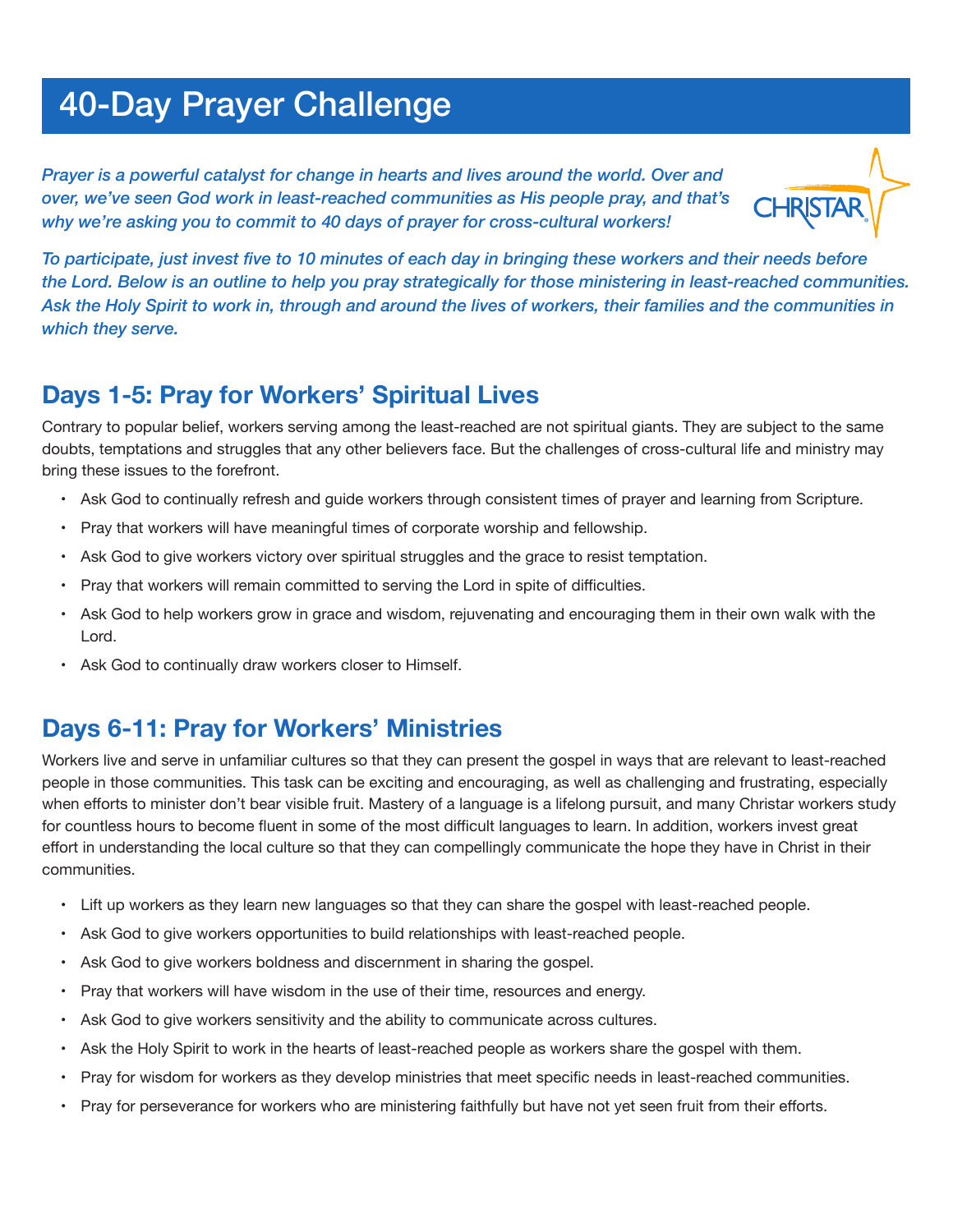# 40-Day Prayer Challenge

l,

*Prayer is a powerful catalyst for change in hearts and lives around the world. Over and over, we've seen God work in least-reached communities as His people pray, and that's why we're asking you to commit to 40 days of prayer for cross-cultural workers!*



*To participate, just invest five to 10 minutes of each day in bringing these workers and their needs before the Lord. Below is an outline to help you pray strategically for those ministering in least-reached communities. Ask the Holy Spirit to work in, through and around the lives of workers, their families and the communities in which they serve.*

#### **Days 1-5: Pray for Workers' Spiritual Lives**

Contrary to popular belief, workers serving among the least-reached are not spiritual giants. They are subject to the same doubts, temptations and struggles that any other believers face. But the challenges of cross-cultural life and ministry may bring these issues to the forefront.

- • Ask God to continually refresh and guide workers through consistent times of prayer and learning from Scripture.
- • Pray that workers will have meaningful times of corporate worship and fellowship.
- • Ask God to give workers victory over spiritual struggles and the grace to resist temptation.
- • Pray that workers will remain committed to serving the Lord in spite of difficulties.
- • Ask God to help workers grow in grace and wisdom, rejuvenating and encouraging them in their own walk with the Lord.
- • Ask God to continually draw workers closer to Himself.

#### **Days 6-11: Pray for Workers' Ministries**

Workers live and serve in unfamiliar cultures so that they can present the gospel in ways that are relevant to least-reached people in those communities. This task can be exciting and encouraging, as well as challenging and frustrating, especially when efforts to minister don't bear visible fruit. Mastery of a language is a lifelong pursuit, and many Christar workers study for countless hours to become fluent in some of the most difficult languages to learn. In addition, workers invest great effort in understanding the local culture so that they can compellingly communicate the hope they have in Christ in their communities.

- • Lift up workers as they learn new languages so that they can share the gospel with least-reached people.
- • Ask God to give workers opportunities to build relationships with least-reached people.
- Ask God to give workers boldness and discernment in sharing the gospel.
- • Pray that workers will have wisdom in the use of their time, resources and energy.
- • Ask God to give workers sensitivity and the ability to communicate across cultures.
- • Ask the Holy Spirit to work in the hearts of least-reached people as workers share the gospel with them.
- Pray for wisdom for workers as they develop ministries that meet specific needs in least-reached communities.
- Pray for perseverance for workers who are ministering faithfully but have not yet seen fruit from their efforts.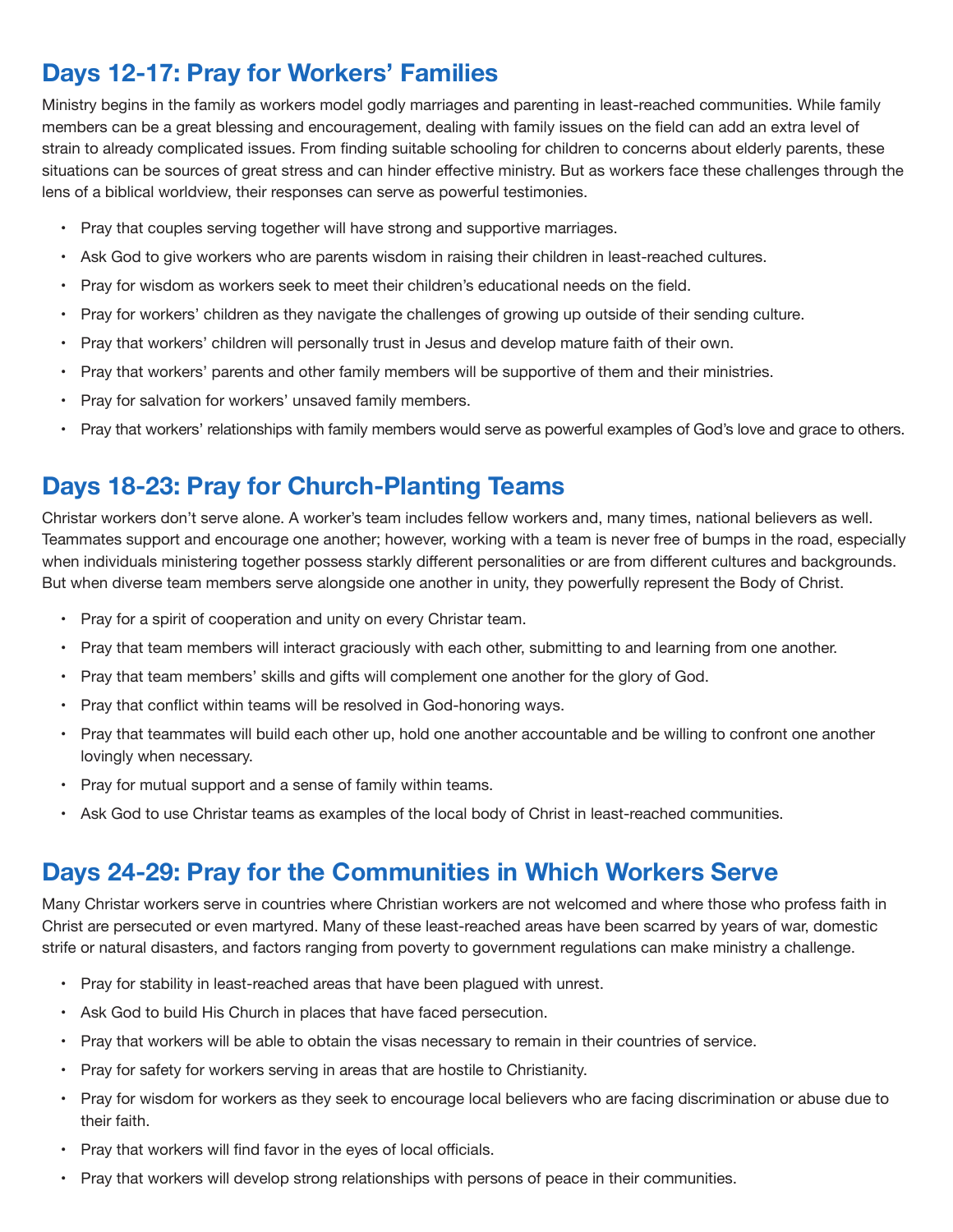## **Days 12-17: Pray for Workers' Families**

Ministry begins in the family as workers model godly marriages and parenting in least-reached communities. While family members can be a great blessing and encouragement, dealing with family issues on the field can add an extra level of strain to already complicated issues. From finding suitable schooling for children to concerns about elderly parents, these situations can be sources of great stress and can hinder effective ministry. But as workers face these challenges through the lens of a biblical worldview, their responses can serve as powerful testimonies.

- Pray that couples serving together will have strong and supportive marriages.
- • Ask God to give workers who are parents wisdom in raising their children in least-reached cultures.
- Pray for wisdom as workers seek to meet their children's educational needs on the field.
- • Pray for workers' children as they navigate the challenges of growing up outside of their sending culture.
- • Pray that workers' children will personally trust in Jesus and develop mature faith of their own.
- • Pray that workers' parents and other family members will be supportive of them and their ministries.
- Pray for salvation for workers' unsaved family members.
- Pray that workers' relationships with family members would serve as powerful examples of God's love and grace to others.

#### **Days 18-23: Pray for Church-Planting Teams**

Christar workers don't serve alone. A worker's team includes fellow workers and, many times, national believers as well. Teammates support and encourage one another; however, working with a team is never free of bumps in the road, especially when individuals ministering together possess starkly different personalities or are from different cultures and backgrounds. But when diverse team members serve alongside one another in unity, they powerfully represent the Body of Christ.

- Pray for a spirit of cooperation and unity on every Christar team.
- • Pray that team members will interact graciously with each other, submitting to and learning from one another.
- • Pray that team members' skills and gifts will complement one another for the glory of God.
- Pray that conflict within teams will be resolved in God-honoring ways.
- • Pray that teammates will build each other up, hold one another accountable and be willing to confront one another lovingly when necessary.
- Pray for mutual support and a sense of family within teams.
- • Ask God to use Christar teams as examples of the local body of Christ in least-reached communities.

#### **Days 24-29: Pray for the Communities in Which Workers Serve**

Many Christar workers serve in countries where Christian workers are not welcomed and where those who profess faith in Christ are persecuted or even martyred. Many of these least-reached areas have been scarred by years of war, domestic strife or natural disasters, and factors ranging from poverty to government regulations can make ministry a challenge.

- Pray for stability in least-reached areas that have been plagued with unrest.
- Ask God to build His Church in places that have faced persecution.
- • Pray that workers will be able to obtain the visas necessary to remain in their countries of service.
- Pray for safety for workers serving in areas that are hostile to Christianity.
- • Pray for wisdom for workers as they seek to encourage local believers who are facing discrimination or abuse due to their faith.
- Pray that workers will find favor in the eyes of local officials.
- Pray that workers will develop strong relationships with persons of peace in their communities.